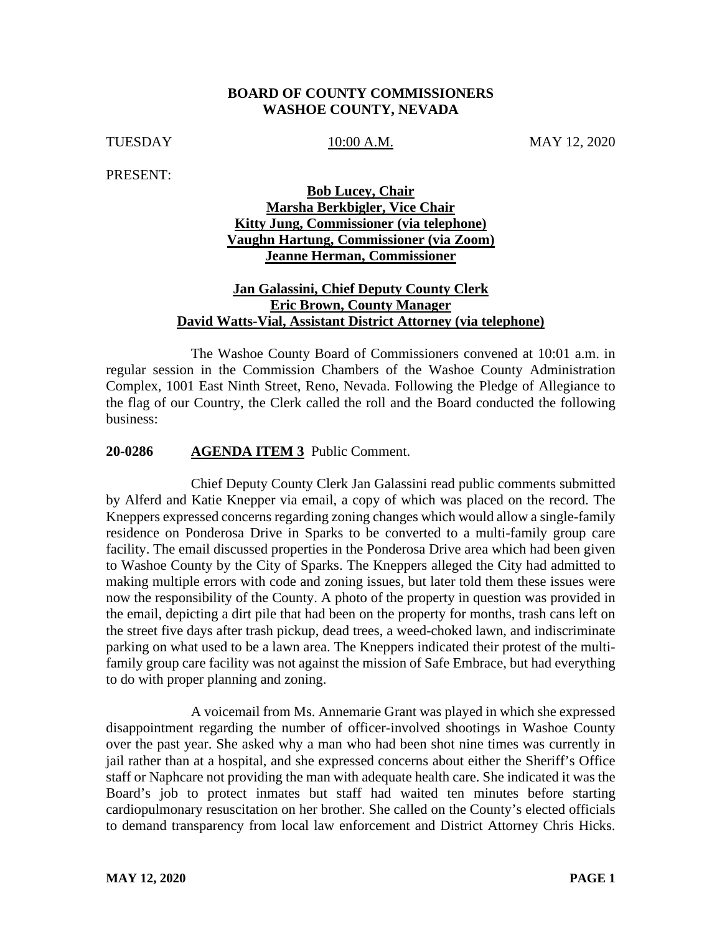## **BOARD OF COUNTY COMMISSIONERS WASHOE COUNTY, NEVADA**

TUESDAY 10:00 A.M. MAY 12, 2020

PRESENT:

# **Bob Lucey, Chair Marsha Berkbigler, Vice Chair Kitty Jung, Commissioner (via telephone) Vaughn Hartung, Commissioner (via Zoom) Jeanne Herman, Commissioner**

## **Jan Galassini, Chief Deputy County Clerk Eric Brown, County Manager David Watts-Vial, Assistant District Attorney (via telephone)**

The Washoe County Board of Commissioners convened at 10:01 a.m. in regular session in the Commission Chambers of the Washoe County Administration Complex, 1001 East Ninth Street, Reno, Nevada. Following the Pledge of Allegiance to the flag of our Country, the Clerk called the roll and the Board conducted the following business:

#### **20-0286 AGENDA ITEM 3** Public Comment.

Chief Deputy County Clerk Jan Galassini read public comments submitted by Alferd and Katie Knepper via email, a copy of which was placed on the record. The Kneppers expressed concerns regarding zoning changes which would allow a single-family residence on Ponderosa Drive in Sparks to be converted to a multi-family group care facility. The email discussed properties in the Ponderosa Drive area which had been given to Washoe County by the City of Sparks. The Kneppers alleged the City had admitted to making multiple errors with code and zoning issues, but later told them these issues were now the responsibility of the County. A photo of the property in question was provided in the email, depicting a dirt pile that had been on the property for months, trash cans left on the street five days after trash pickup, dead trees, a weed-choked lawn, and indiscriminate parking on what used to be a lawn area. The Kneppers indicated their protest of the multifamily group care facility was not against the mission of Safe Embrace, but had everything to do with proper planning and zoning.

A voicemail from Ms. Annemarie Grant was played in which she expressed disappointment regarding the number of officer-involved shootings in Washoe County over the past year. She asked why a man who had been shot nine times was currently in jail rather than at a hospital, and she expressed concerns about either the Sheriff's Office staff or Naphcare not providing the man with adequate health care. She indicated it was the Board's job to protect inmates but staff had waited ten minutes before starting cardiopulmonary resuscitation on her brother. She called on the County's elected officials to demand transparency from local law enforcement and District Attorney Chris Hicks.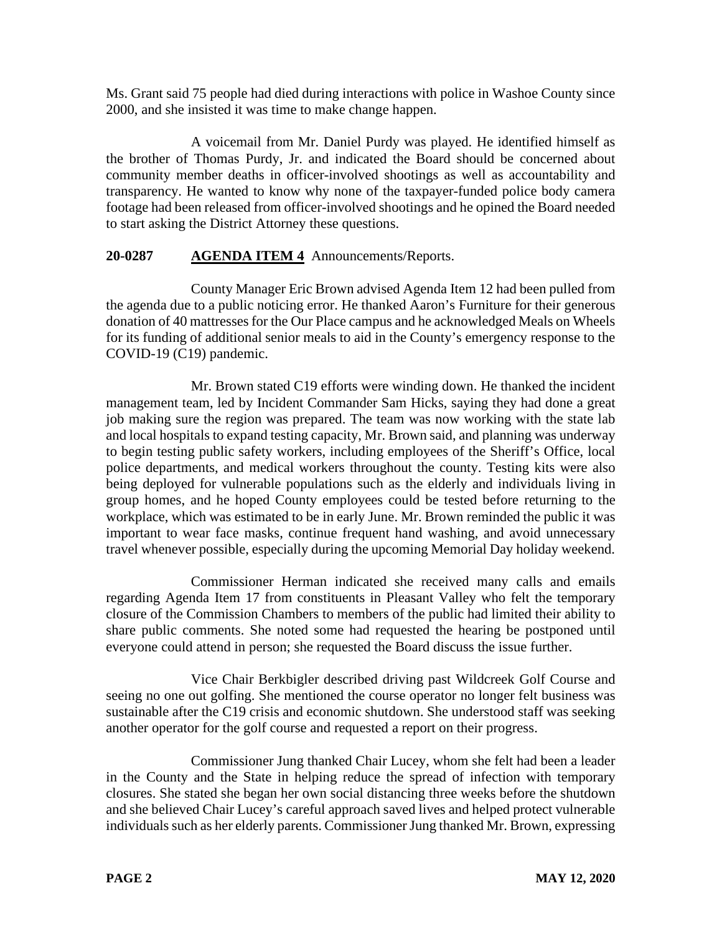Ms. Grant said 75 people had died during interactions with police in Washoe County since 2000, and she insisted it was time to make change happen.

A voicemail from Mr. Daniel Purdy was played. He identified himself as the brother of Thomas Purdy, Jr. and indicated the Board should be concerned about community member deaths in officer-involved shootings as well as accountability and transparency. He wanted to know why none of the taxpayer-funded police body camera footage had been released from officer-involved shootings and he opined the Board needed to start asking the District Attorney these questions.

# **20-0287 AGENDA ITEM 4** Announcements/Reports.

County Manager Eric Brown advised Agenda Item 12 had been pulled from the agenda due to a public noticing error. He thanked Aaron's Furniture for their generous donation of 40 mattresses for the Our Place campus and he acknowledged Meals on Wheels for its funding of additional senior meals to aid in the County's emergency response to the COVID-19 (C19) pandemic.

Mr. Brown stated C19 efforts were winding down. He thanked the incident management team, led by Incident Commander Sam Hicks, saying they had done a great job making sure the region was prepared. The team was now working with the state lab and local hospitals to expand testing capacity, Mr. Brown said, and planning was underway to begin testing public safety workers, including employees of the Sheriff's Office, local police departments, and medical workers throughout the county. Testing kits were also being deployed for vulnerable populations such as the elderly and individuals living in group homes, and he hoped County employees could be tested before returning to the workplace, which was estimated to be in early June. Mr. Brown reminded the public it was important to wear face masks, continue frequent hand washing, and avoid unnecessary travel whenever possible, especially during the upcoming Memorial Day holiday weekend.

Commissioner Herman indicated she received many calls and emails regarding Agenda Item 17 from constituents in Pleasant Valley who felt the temporary closure of the Commission Chambers to members of the public had limited their ability to share public comments. She noted some had requested the hearing be postponed until everyone could attend in person; she requested the Board discuss the issue further.

Vice Chair Berkbigler described driving past Wildcreek Golf Course and seeing no one out golfing. She mentioned the course operator no longer felt business was sustainable after the C19 crisis and economic shutdown. She understood staff was seeking another operator for the golf course and requested a report on their progress.

Commissioner Jung thanked Chair Lucey, whom she felt had been a leader in the County and the State in helping reduce the spread of infection with temporary closures. She stated she began her own social distancing three weeks before the shutdown and she believed Chair Lucey's careful approach saved lives and helped protect vulnerable individuals such as her elderly parents. Commissioner Jung thanked Mr. Brown, expressing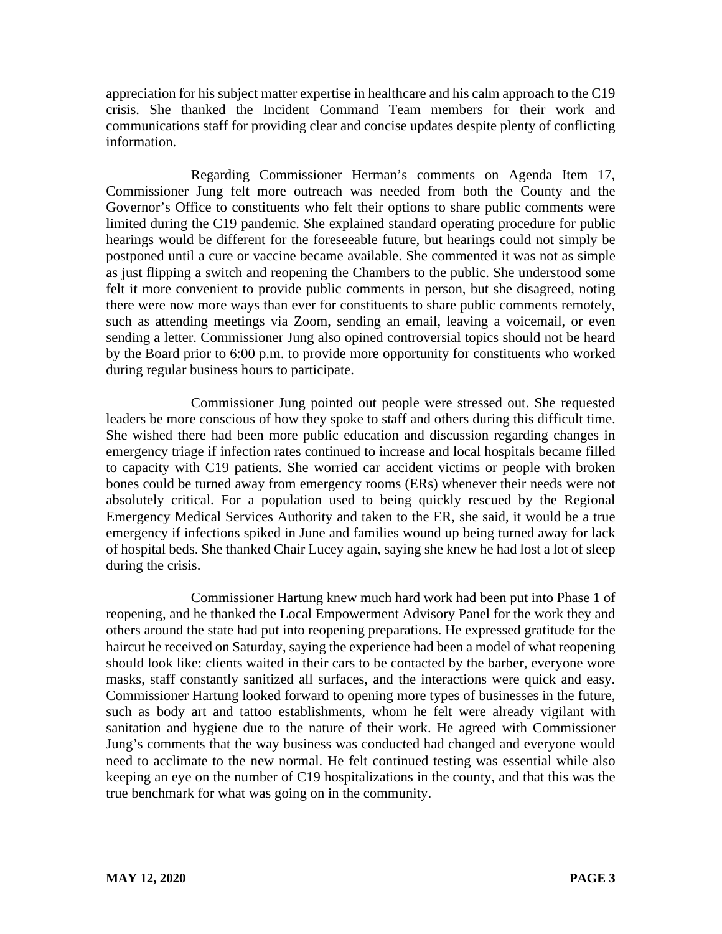appreciation for his subject matter expertise in healthcare and his calm approach to the C19 crisis. She thanked the Incident Command Team members for their work and communications staff for providing clear and concise updates despite plenty of conflicting information.

Regarding Commissioner Herman's comments on Agenda Item 17, Commissioner Jung felt more outreach was needed from both the County and the Governor's Office to constituents who felt their options to share public comments were limited during the C19 pandemic. She explained standard operating procedure for public hearings would be different for the foreseeable future, but hearings could not simply be postponed until a cure or vaccine became available. She commented it was not as simple as just flipping a switch and reopening the Chambers to the public. She understood some felt it more convenient to provide public comments in person, but she disagreed, noting there were now more ways than ever for constituents to share public comments remotely, such as attending meetings via Zoom, sending an email, leaving a voicemail, or even sending a letter. Commissioner Jung also opined controversial topics should not be heard by the Board prior to 6:00 p.m. to provide more opportunity for constituents who worked during regular business hours to participate.

Commissioner Jung pointed out people were stressed out. She requested leaders be more conscious of how they spoke to staff and others during this difficult time. She wished there had been more public education and discussion regarding changes in emergency triage if infection rates continued to increase and local hospitals became filled to capacity with C19 patients. She worried car accident victims or people with broken bones could be turned away from emergency rooms (ERs) whenever their needs were not absolutely critical. For a population used to being quickly rescued by the Regional Emergency Medical Services Authority and taken to the ER, she said, it would be a true emergency if infections spiked in June and families wound up being turned away for lack of hospital beds. She thanked Chair Lucey again, saying she knew he had lost a lot of sleep during the crisis.

Commissioner Hartung knew much hard work had been put into Phase 1 of reopening, and he thanked the Local Empowerment Advisory Panel for the work they and others around the state had put into reopening preparations. He expressed gratitude for the haircut he received on Saturday, saying the experience had been a model of what reopening should look like: clients waited in their cars to be contacted by the barber, everyone wore masks, staff constantly sanitized all surfaces, and the interactions were quick and easy. Commissioner Hartung looked forward to opening more types of businesses in the future, such as body art and tattoo establishments, whom he felt were already vigilant with sanitation and hygiene due to the nature of their work. He agreed with Commissioner Jung's comments that the way business was conducted had changed and everyone would need to acclimate to the new normal. He felt continued testing was essential while also keeping an eye on the number of C19 hospitalizations in the county, and that this was the true benchmark for what was going on in the community.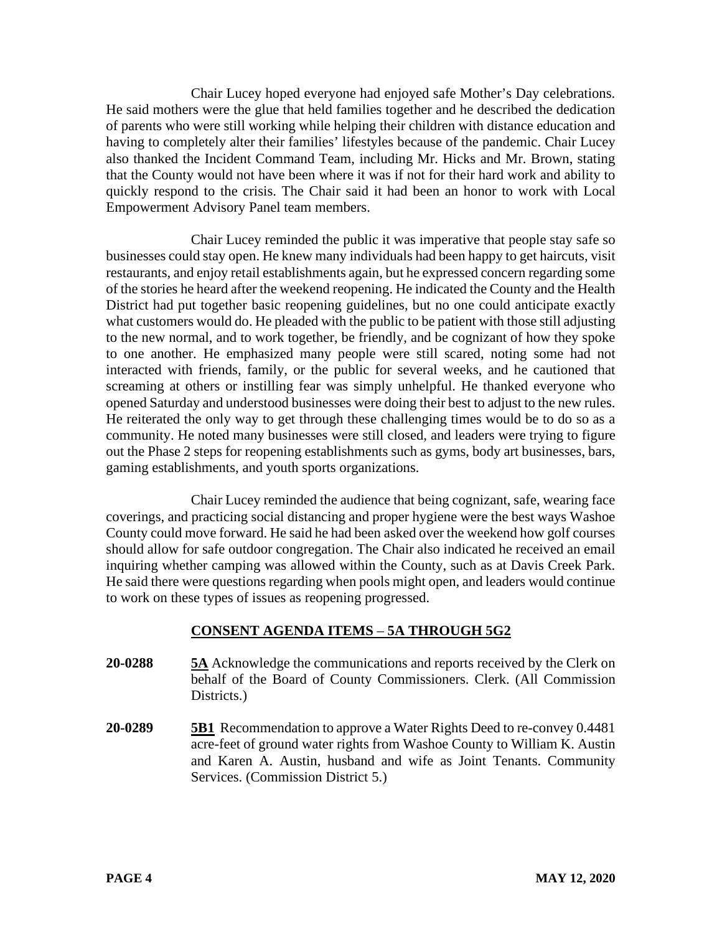Chair Lucey hoped everyone had enjoyed safe Mother's Day celebrations. He said mothers were the glue that held families together and he described the dedication of parents who were still working while helping their children with distance education and having to completely alter their families' lifestyles because of the pandemic. Chair Lucey also thanked the Incident Command Team, including Mr. Hicks and Mr. Brown, stating that the County would not have been where it was if not for their hard work and ability to quickly respond to the crisis. The Chair said it had been an honor to work with Local Empowerment Advisory Panel team members.

Chair Lucey reminded the public it was imperative that people stay safe so businesses could stay open. He knew many individuals had been happy to get haircuts, visit restaurants, and enjoy retail establishments again, but he expressed concern regarding some of the stories he heard after the weekend reopening. He indicated the County and the Health District had put together basic reopening guidelines, but no one could anticipate exactly what customers would do. He pleaded with the public to be patient with those still adjusting to the new normal, and to work together, be friendly, and be cognizant of how they spoke to one another. He emphasized many people were still scared, noting some had not interacted with friends, family, or the public for several weeks, and he cautioned that screaming at others or instilling fear was simply unhelpful. He thanked everyone who opened Saturday and understood businesses were doing their best to adjust to the new rules. He reiterated the only way to get through these challenging times would be to do so as a community. He noted many businesses were still closed, and leaders were trying to figure out the Phase 2 steps for reopening establishments such as gyms, body art businesses, bars, gaming establishments, and youth sports organizations.

Chair Lucey reminded the audience that being cognizant, safe, wearing face coverings, and practicing social distancing and proper hygiene were the best ways Washoe County could move forward. He said he had been asked over the weekend how golf courses should allow for safe outdoor congregation. The Chair also indicated he received an email inquiring whether camping was allowed within the County, such as at Davis Creek Park. He said there were questions regarding when pools might open, and leaders would continue to work on these types of issues as reopening progressed.

# **CONSENT AGENDA ITEMS** – **5A THROUGH 5G2**

- **20-0288 5A** Acknowledge the communications and reports received by the Clerk on behalf of the Board of County Commissioners. Clerk. (All Commission Districts.)
- **20-0289 5B1** Recommendation to approve a Water Rights Deed to re-convey 0.4481 acre-feet of ground water rights from Washoe County to William K. Austin and Karen A. Austin, husband and wife as Joint Tenants. Community Services. (Commission District 5.)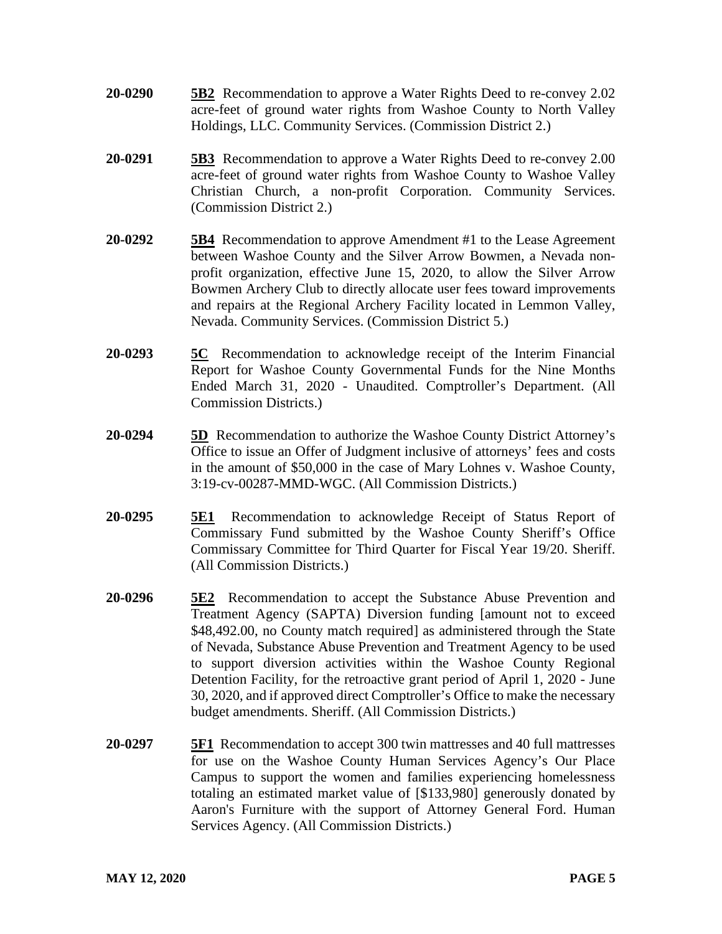- **20-0290 5B2** Recommendation to approve a Water Rights Deed to re-convey 2.02 acre-feet of ground water rights from Washoe County to North Valley Holdings, LLC. Community Services. (Commission District 2.)
- **20-0291 5B3** Recommendation to approve a Water Rights Deed to re-convey 2.00 acre-feet of ground water rights from Washoe County to Washoe Valley Christian Church, a non-profit Corporation. Community Services. (Commission District 2.)
- **20-0292 5B4** Recommendation to approve Amendment #1 to the Lease Agreement between Washoe County and the Silver Arrow Bowmen, a Nevada nonprofit organization, effective June 15, 2020, to allow the Silver Arrow Bowmen Archery Club to directly allocate user fees toward improvements and repairs at the Regional Archery Facility located in Lemmon Valley, Nevada. Community Services. (Commission District 5.)
- **20-0293 5C** Recommendation to acknowledge receipt of the Interim Financial Report for Washoe County Governmental Funds for the Nine Months Ended March 31, 2020 - Unaudited. Comptroller's Department. (All Commission Districts.)
- **20-0294 5D** Recommendation to authorize the Washoe County District Attorney's Office to issue an Offer of Judgment inclusive of attorneys' fees and costs in the amount of \$50,000 in the case of Mary Lohnes v. Washoe County, 3:19-cv-00287-MMD-WGC. (All Commission Districts.)
- **20-0295 5E1** Recommendation to acknowledge Receipt of Status Report of Commissary Fund submitted by the Washoe County Sheriff's Office Commissary Committee for Third Quarter for Fiscal Year 19/20. Sheriff. (All Commission Districts.)
- **20-0296 5E2** Recommendation to accept the Substance Abuse Prevention and Treatment Agency (SAPTA) Diversion funding [amount not to exceed \$48,492.00, no County match required as administered through the State of Nevada, Substance Abuse Prevention and Treatment Agency to be used to support diversion activities within the Washoe County Regional Detention Facility, for the retroactive grant period of April 1, 2020 - June 30, 2020, and if approved direct Comptroller's Office to make the necessary budget amendments. Sheriff. (All Commission Districts.)
- **20-0297 5F1** Recommendation to accept 300 twin mattresses and 40 full mattresses for use on the Washoe County Human Services Agency's Our Place Campus to support the women and families experiencing homelessness totaling an estimated market value of [\$133,980] generously donated by Aaron's Furniture with the support of Attorney General Ford. Human Services Agency. (All Commission Districts.)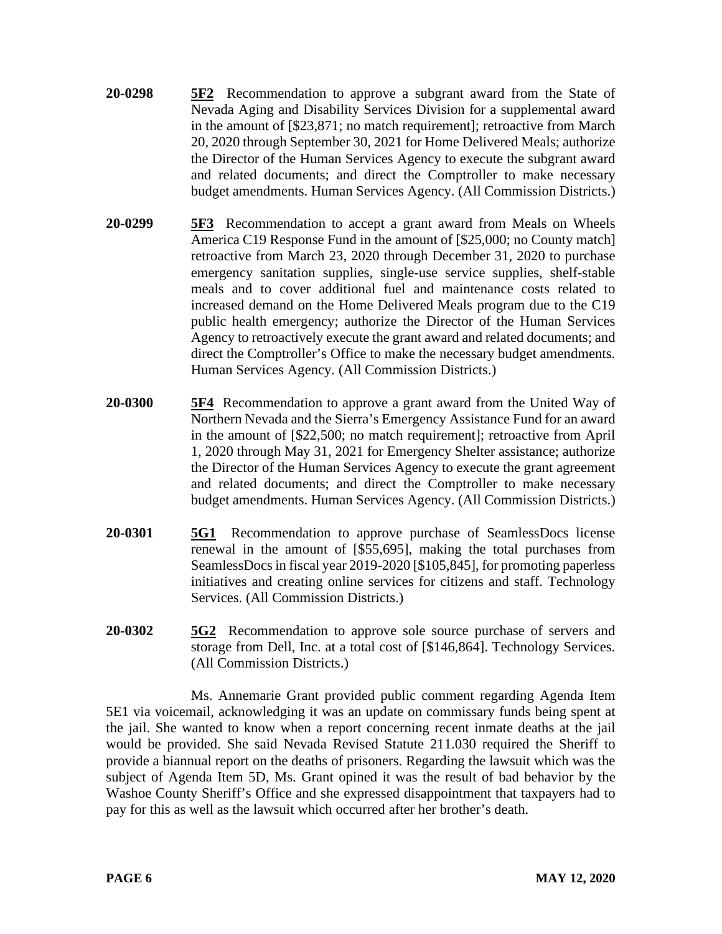- **20-0298 5F2** Recommendation to approve a subgrant award from the State of Nevada Aging and Disability Services Division for a supplemental award in the amount of [\$23,871; no match requirement]; retroactive from March 20, 2020 through September 30, 2021 for Home Delivered Meals; authorize the Director of the Human Services Agency to execute the subgrant award and related documents; and direct the Comptroller to make necessary budget amendments. Human Services Agency. (All Commission Districts.)
- **20-0299 5F3** Recommendation to accept a grant award from Meals on Wheels America C19 Response Fund in the amount of [\$25,000; no County match] retroactive from March 23, 2020 through December 31, 2020 to purchase emergency sanitation supplies, single-use service supplies, shelf-stable meals and to cover additional fuel and maintenance costs related to increased demand on the Home Delivered Meals program due to the C19 public health emergency; authorize the Director of the Human Services Agency to retroactively execute the grant award and related documents; and direct the Comptroller's Office to make the necessary budget amendments. Human Services Agency. (All Commission Districts.)
- **20-0300 5F4** Recommendation to approve a grant award from the United Way of Northern Nevada and the Sierra's Emergency Assistance Fund for an award in the amount of [\$22,500; no match requirement]; retroactive from April 1, 2020 through May 31, 2021 for Emergency Shelter assistance; authorize the Director of the Human Services Agency to execute the grant agreement and related documents; and direct the Comptroller to make necessary budget amendments. Human Services Agency. (All Commission Districts.)
- **20-0301 5G1** Recommendation to approve purchase of SeamlessDocs license renewal in the amount of [\$55,695], making the total purchases from SeamlessDocs in fiscal year 2019-2020 [\$105,845], for promoting paperless initiatives and creating online services for citizens and staff. Technology Services. (All Commission Districts.)
- **20-0302 5G2** Recommendation to approve sole source purchase of servers and storage from Dell, Inc. at a total cost of [\$146,864]. Technology Services. (All Commission Districts.)

Ms. Annemarie Grant provided public comment regarding Agenda Item 5E1 via voicemail, acknowledging it was an update on commissary funds being spent at the jail. She wanted to know when a report concerning recent inmate deaths at the jail would be provided. She said Nevada Revised Statute 211.030 required the Sheriff to provide a biannual report on the deaths of prisoners. Regarding the lawsuit which was the subject of Agenda Item 5D, Ms. Grant opined it was the result of bad behavior by the Washoe County Sheriff's Office and she expressed disappointment that taxpayers had to pay for this as well as the lawsuit which occurred after her brother's death.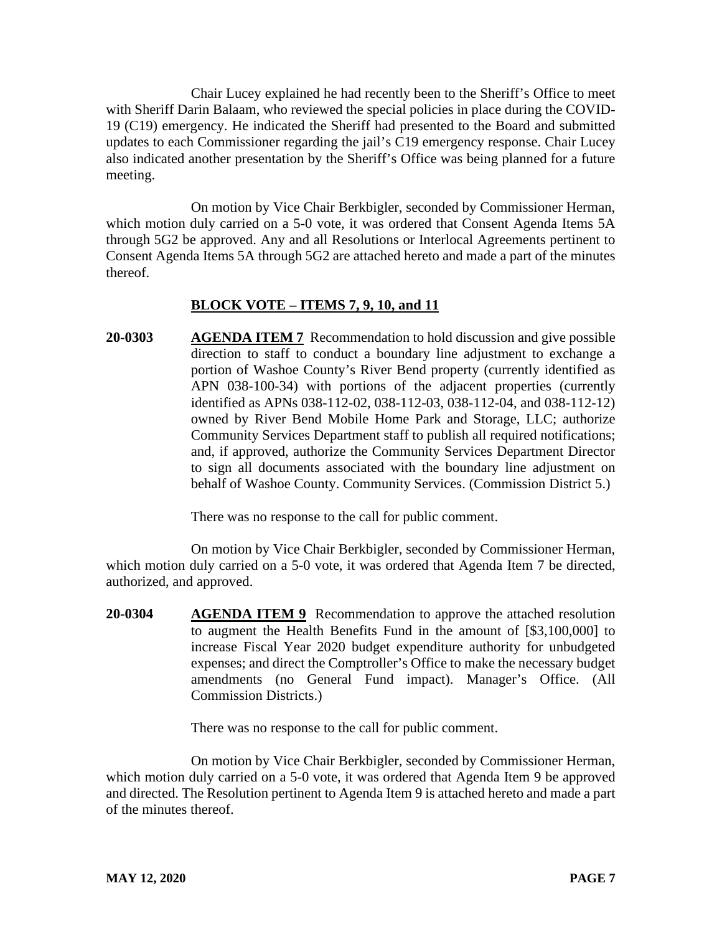Chair Lucey explained he had recently been to the Sheriff's Office to meet with Sheriff Darin Balaam, who reviewed the special policies in place during the COVID-19 (C19) emergency. He indicated the Sheriff had presented to the Board and submitted updates to each Commissioner regarding the jail's C19 emergency response. Chair Lucey also indicated another presentation by the Sheriff's Office was being planned for a future meeting.

On motion by Vice Chair Berkbigler, seconded by Commissioner Herman, which motion duly carried on a 5-0 vote, it was ordered that Consent Agenda Items 5A through 5G2 be approved. Any and all Resolutions or Interlocal Agreements pertinent to Consent Agenda Items 5A through 5G2 are attached hereto and made a part of the minutes thereof.

# **BLOCK VOTE – ITEMS 7, 9, 10, and 11**

**20-0303 AGENDA ITEM 7** Recommendation to hold discussion and give possible direction to staff to conduct a boundary line adjustment to exchange a portion of Washoe County's River Bend property (currently identified as APN 038-100-34) with portions of the adjacent properties (currently identified as APNs 038-112-02, 038-112-03, 038-112-04, and 038-112-12) owned by River Bend Mobile Home Park and Storage, LLC; authorize Community Services Department staff to publish all required notifications; and, if approved, authorize the Community Services Department Director to sign all documents associated with the boundary line adjustment on behalf of Washoe County. Community Services. (Commission District 5.)

There was no response to the call for public comment.

On motion by Vice Chair Berkbigler, seconded by Commissioner Herman, which motion duly carried on a 5-0 vote, it was ordered that Agenda Item 7 be directed, authorized, and approved.

**20-0304 AGENDA ITEM 9** Recommendation to approve the attached resolution to augment the Health Benefits Fund in the amount of [\$3,100,000] to increase Fiscal Year 2020 budget expenditure authority for unbudgeted expenses; and direct the Comptroller's Office to make the necessary budget amendments (no General Fund impact). Manager's Office. (All Commission Districts.)

There was no response to the call for public comment.

On motion by Vice Chair Berkbigler, seconded by Commissioner Herman, which motion duly carried on a 5-0 vote, it was ordered that Agenda Item 9 be approved and directed. The Resolution pertinent to Agenda Item 9 is attached hereto and made a part of the minutes thereof.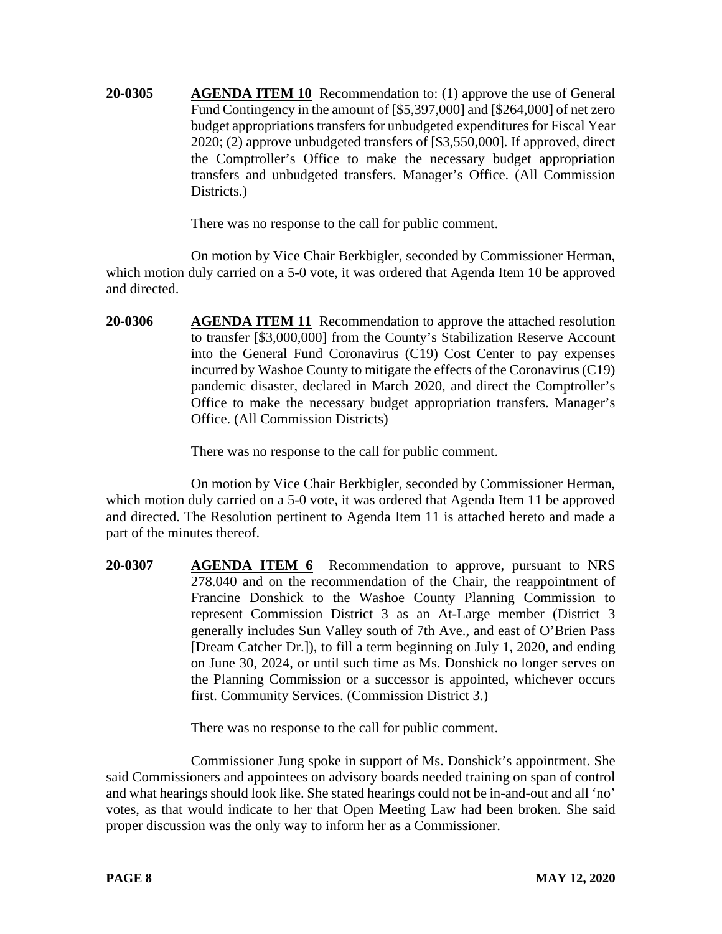**20-0305 AGENDA ITEM 10** Recommendation to: (1) approve the use of General Fund Contingency in the amount of [\$5,397,000] and [\$264,000] of net zero budget appropriations transfers for unbudgeted expenditures for Fiscal Year 2020; (2) approve unbudgeted transfers of [\$3,550,000]. If approved, direct the Comptroller's Office to make the necessary budget appropriation transfers and unbudgeted transfers. Manager's Office. (All Commission Districts.

There was no response to the call for public comment.

On motion by Vice Chair Berkbigler, seconded by Commissioner Herman, which motion duly carried on a 5-0 vote, it was ordered that Agenda Item 10 be approved and directed.

**20-0306 AGENDA ITEM 11** Recommendation to approve the attached resolution to transfer [\$3,000,000] from the County's Stabilization Reserve Account into the General Fund Coronavirus (C19) Cost Center to pay expenses incurred by Washoe County to mitigate the effects of the Coronavirus (C19) pandemic disaster, declared in March 2020, and direct the Comptroller's Office to make the necessary budget appropriation transfers. Manager's Office. (All Commission Districts)

There was no response to the call for public comment.

On motion by Vice Chair Berkbigler, seconded by Commissioner Herman, which motion duly carried on a 5-0 vote, it was ordered that Agenda Item 11 be approved and directed. The Resolution pertinent to Agenda Item 11 is attached hereto and made a part of the minutes thereof.

**20-0307 AGENDA ITEM 6** Recommendation to approve, pursuant to NRS 278.040 and on the recommendation of the Chair, the reappointment of Francine Donshick to the Washoe County Planning Commission to represent Commission District 3 as an At-Large member (District 3 generally includes Sun Valley south of 7th Ave., and east of O'Brien Pass [Dream Catcher Dr.]), to fill a term beginning on July 1, 2020, and ending on June 30, 2024, or until such time as Ms. Donshick no longer serves on the Planning Commission or a successor is appointed, whichever occurs first. Community Services. (Commission District 3.)

There was no response to the call for public comment.

Commissioner Jung spoke in support of Ms. Donshick's appointment. She said Commissioners and appointees on advisory boards needed training on span of control and what hearings should look like. She stated hearings could not be in-and-out and all 'no' votes, as that would indicate to her that Open Meeting Law had been broken. She said proper discussion was the only way to inform her as a Commissioner.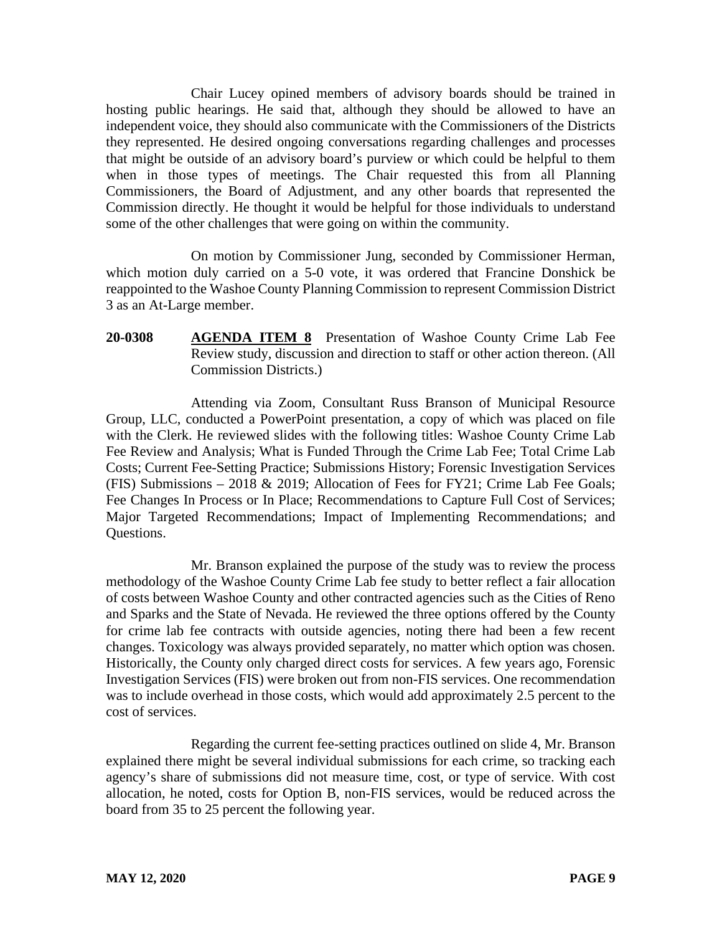Chair Lucey opined members of advisory boards should be trained in hosting public hearings. He said that, although they should be allowed to have an independent voice, they should also communicate with the Commissioners of the Districts they represented. He desired ongoing conversations regarding challenges and processes that might be outside of an advisory board's purview or which could be helpful to them when in those types of meetings. The Chair requested this from all Planning Commissioners, the Board of Adjustment, and any other boards that represented the Commission directly. He thought it would be helpful for those individuals to understand some of the other challenges that were going on within the community.

On motion by Commissioner Jung, seconded by Commissioner Herman, which motion duly carried on a 5-0 vote, it was ordered that Francine Donshick be reappointed to the Washoe County Planning Commission to represent Commission District 3 as an At-Large member.

**20-0308 AGENDA ITEM 8** Presentation of Washoe County Crime Lab Fee Review study, discussion and direction to staff or other action thereon. (All Commission Districts.)

Attending via Zoom, Consultant Russ Branson of Municipal Resource Group, LLC, conducted a PowerPoint presentation, a copy of which was placed on file with the Clerk. He reviewed slides with the following titles: Washoe County Crime Lab Fee Review and Analysis; What is Funded Through the Crime Lab Fee; Total Crime Lab Costs; Current Fee-Setting Practice; Submissions History; Forensic Investigation Services (FIS) Submissions – 2018 & 2019; Allocation of Fees for FY21; Crime Lab Fee Goals; Fee Changes In Process or In Place; Recommendations to Capture Full Cost of Services; Major Targeted Recommendations; Impact of Implementing Recommendations; and Questions.

Mr. Branson explained the purpose of the study was to review the process methodology of the Washoe County Crime Lab fee study to better reflect a fair allocation of costs between Washoe County and other contracted agencies such as the Cities of Reno and Sparks and the State of Nevada. He reviewed the three options offered by the County for crime lab fee contracts with outside agencies, noting there had been a few recent changes. Toxicology was always provided separately, no matter which option was chosen. Historically, the County only charged direct costs for services. A few years ago, Forensic Investigation Services (FIS) were broken out from non-FIS services. One recommendation was to include overhead in those costs, which would add approximately 2.5 percent to the cost of services.

Regarding the current fee-setting practices outlined on slide 4, Mr. Branson explained there might be several individual submissions for each crime, so tracking each agency's share of submissions did not measure time, cost, or type of service. With cost allocation, he noted, costs for Option B, non-FIS services, would be reduced across the board from 35 to 25 percent the following year.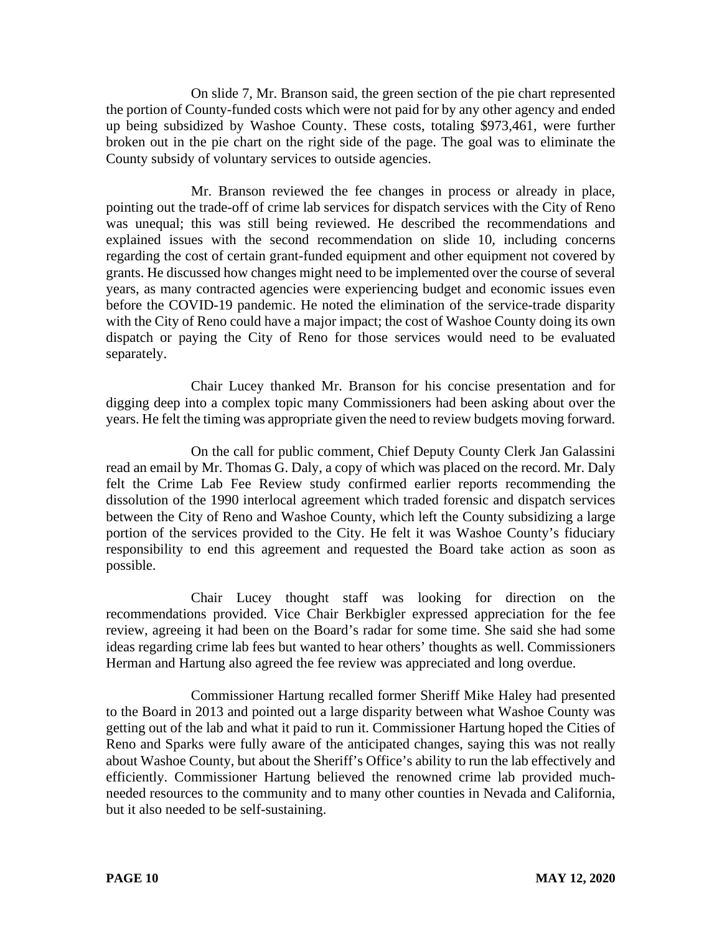On slide 7, Mr. Branson said, the green section of the pie chart represented the portion of County-funded costs which were not paid for by any other agency and ended up being subsidized by Washoe County. These costs, totaling \$973,461, were further broken out in the pie chart on the right side of the page. The goal was to eliminate the County subsidy of voluntary services to outside agencies.

Mr. Branson reviewed the fee changes in process or already in place, pointing out the trade-off of crime lab services for dispatch services with the City of Reno was unequal; this was still being reviewed. He described the recommendations and explained issues with the second recommendation on slide 10, including concerns regarding the cost of certain grant-funded equipment and other equipment not covered by grants. He discussed how changes might need to be implemented over the course of several years, as many contracted agencies were experiencing budget and economic issues even before the COVID-19 pandemic. He noted the elimination of the service-trade disparity with the City of Reno could have a major impact; the cost of Washoe County doing its own dispatch or paying the City of Reno for those services would need to be evaluated separately.

Chair Lucey thanked Mr. Branson for his concise presentation and for digging deep into a complex topic many Commissioners had been asking about over the years. He felt the timing was appropriate given the need to review budgets moving forward.

On the call for public comment, Chief Deputy County Clerk Jan Galassini read an email by Mr. Thomas G. Daly, a copy of which was placed on the record. Mr. Daly felt the Crime Lab Fee Review study confirmed earlier reports recommending the dissolution of the 1990 interlocal agreement which traded forensic and dispatch services between the City of Reno and Washoe County, which left the County subsidizing a large portion of the services provided to the City. He felt it was Washoe County's fiduciary responsibility to end this agreement and requested the Board take action as soon as possible.

Chair Lucey thought staff was looking for direction on the recommendations provided. Vice Chair Berkbigler expressed appreciation for the fee review, agreeing it had been on the Board's radar for some time. She said she had some ideas regarding crime lab fees but wanted to hear others' thoughts as well. Commissioners Herman and Hartung also agreed the fee review was appreciated and long overdue.

Commissioner Hartung recalled former Sheriff Mike Haley had presented to the Board in 2013 and pointed out a large disparity between what Washoe County was getting out of the lab and what it paid to run it. Commissioner Hartung hoped the Cities of Reno and Sparks were fully aware of the anticipated changes, saying this was not really about Washoe County, but about the Sheriff's Office's ability to run the lab effectively and efficiently. Commissioner Hartung believed the renowned crime lab provided muchneeded resources to the community and to many other counties in Nevada and California, but it also needed to be self-sustaining.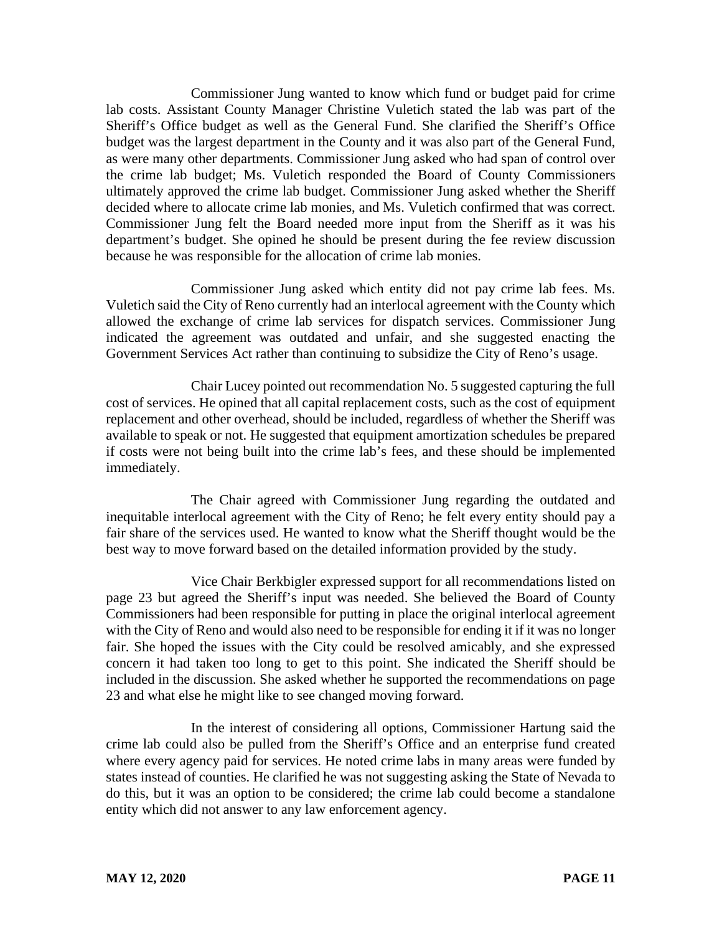Commissioner Jung wanted to know which fund or budget paid for crime lab costs. Assistant County Manager Christine Vuletich stated the lab was part of the Sheriff's Office budget as well as the General Fund. She clarified the Sheriff's Office budget was the largest department in the County and it was also part of the General Fund, as were many other departments. Commissioner Jung asked who had span of control over the crime lab budget; Ms. Vuletich responded the Board of County Commissioners ultimately approved the crime lab budget. Commissioner Jung asked whether the Sheriff decided where to allocate crime lab monies, and Ms. Vuletich confirmed that was correct. Commissioner Jung felt the Board needed more input from the Sheriff as it was his department's budget. She opined he should be present during the fee review discussion because he was responsible for the allocation of crime lab monies.

Commissioner Jung asked which entity did not pay crime lab fees. Ms. Vuletich said the City of Reno currently had an interlocal agreement with the County which allowed the exchange of crime lab services for dispatch services. Commissioner Jung indicated the agreement was outdated and unfair, and she suggested enacting the Government Services Act rather than continuing to subsidize the City of Reno's usage.

Chair Lucey pointed out recommendation No. 5 suggested capturing the full cost of services. He opined that all capital replacement costs, such as the cost of equipment replacement and other overhead, should be included, regardless of whether the Sheriff was available to speak or not. He suggested that equipment amortization schedules be prepared if costs were not being built into the crime lab's fees, and these should be implemented immediately.

The Chair agreed with Commissioner Jung regarding the outdated and inequitable interlocal agreement with the City of Reno; he felt every entity should pay a fair share of the services used. He wanted to know what the Sheriff thought would be the best way to move forward based on the detailed information provided by the study.

Vice Chair Berkbigler expressed support for all recommendations listed on page 23 but agreed the Sheriff's input was needed. She believed the Board of County Commissioners had been responsible for putting in place the original interlocal agreement with the City of Reno and would also need to be responsible for ending it if it was no longer fair. She hoped the issues with the City could be resolved amicably, and she expressed concern it had taken too long to get to this point. She indicated the Sheriff should be included in the discussion. She asked whether he supported the recommendations on page 23 and what else he might like to see changed moving forward.

In the interest of considering all options, Commissioner Hartung said the crime lab could also be pulled from the Sheriff's Office and an enterprise fund created where every agency paid for services. He noted crime labs in many areas were funded by states instead of counties. He clarified he was not suggesting asking the State of Nevada to do this, but it was an option to be considered; the crime lab could become a standalone entity which did not answer to any law enforcement agency.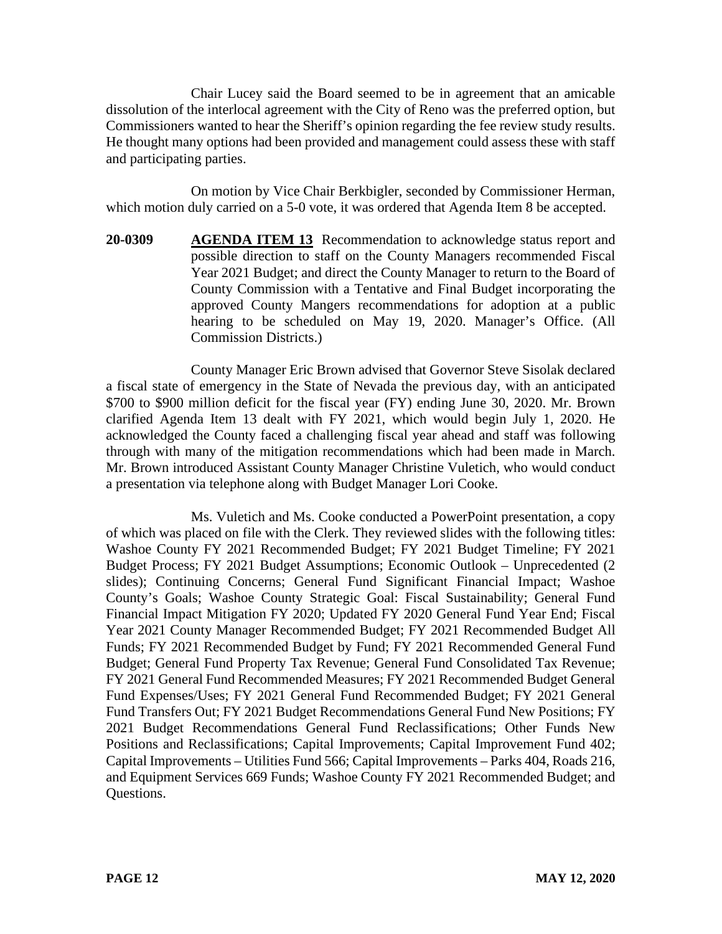Chair Lucey said the Board seemed to be in agreement that an amicable dissolution of the interlocal agreement with the City of Reno was the preferred option, but Commissioners wanted to hear the Sheriff's opinion regarding the fee review study results. He thought many options had been provided and management could assess these with staff and participating parties.

On motion by Vice Chair Berkbigler, seconded by Commissioner Herman, which motion duly carried on a 5-0 vote, it was ordered that Agenda Item 8 be accepted.

**20-0309 AGENDA ITEM 13** Recommendation to acknowledge status report and possible direction to staff on the County Managers recommended Fiscal Year 2021 Budget; and direct the County Manager to return to the Board of County Commission with a Tentative and Final Budget incorporating the approved County Mangers recommendations for adoption at a public hearing to be scheduled on May 19, 2020. Manager's Office. (All Commission Districts.)

County Manager Eric Brown advised that Governor Steve Sisolak declared a fiscal state of emergency in the State of Nevada the previous day, with an anticipated \$700 to \$900 million deficit for the fiscal year (FY) ending June 30, 2020. Mr. Brown clarified Agenda Item 13 dealt with FY 2021, which would begin July 1, 2020. He acknowledged the County faced a challenging fiscal year ahead and staff was following through with many of the mitigation recommendations which had been made in March. Mr. Brown introduced Assistant County Manager Christine Vuletich, who would conduct a presentation via telephone along with Budget Manager Lori Cooke.

Ms. Vuletich and Ms. Cooke conducted a PowerPoint presentation, a copy of which was placed on file with the Clerk. They reviewed slides with the following titles: Washoe County FY 2021 Recommended Budget; FY 2021 Budget Timeline; FY 2021 Budget Process; FY 2021 Budget Assumptions; Economic Outlook – Unprecedented (2 slides); Continuing Concerns; General Fund Significant Financial Impact; Washoe County's Goals; Washoe County Strategic Goal: Fiscal Sustainability; General Fund Financial Impact Mitigation FY 2020; Updated FY 2020 General Fund Year End; Fiscal Year 2021 County Manager Recommended Budget; FY 2021 Recommended Budget All Funds; FY 2021 Recommended Budget by Fund; FY 2021 Recommended General Fund Budget; General Fund Property Tax Revenue; General Fund Consolidated Tax Revenue; FY 2021 General Fund Recommended Measures; FY 2021 Recommended Budget General Fund Expenses/Uses; FY 2021 General Fund Recommended Budget; FY 2021 General Fund Transfers Out; FY 2021 Budget Recommendations General Fund New Positions; FY 2021 Budget Recommendations General Fund Reclassifications; Other Funds New Positions and Reclassifications; Capital Improvements; Capital Improvement Fund 402; Capital Improvements – Utilities Fund 566; Capital Improvements – Parks 404, Roads 216, and Equipment Services 669 Funds; Washoe County FY 2021 Recommended Budget; and Questions.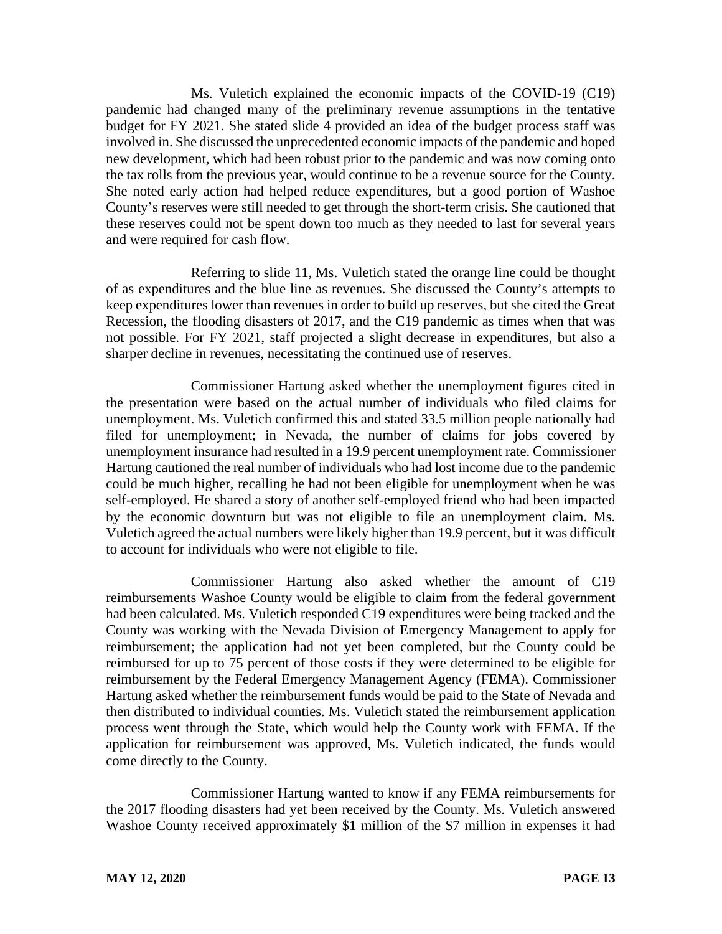Ms. Vuletich explained the economic impacts of the COVID-19 (C19) pandemic had changed many of the preliminary revenue assumptions in the tentative budget for FY 2021. She stated slide 4 provided an idea of the budget process staff was involved in. She discussed the unprecedented economic impacts of the pandemic and hoped new development, which had been robust prior to the pandemic and was now coming onto the tax rolls from the previous year, would continue to be a revenue source for the County. She noted early action had helped reduce expenditures, but a good portion of Washoe County's reserves were still needed to get through the short-term crisis. She cautioned that these reserves could not be spent down too much as they needed to last for several years and were required for cash flow.

Referring to slide 11, Ms. Vuletich stated the orange line could be thought of as expenditures and the blue line as revenues. She discussed the County's attempts to keep expenditures lower than revenues in order to build up reserves, but she cited the Great Recession, the flooding disasters of 2017, and the C19 pandemic as times when that was not possible. For FY 2021, staff projected a slight decrease in expenditures, but also a sharper decline in revenues, necessitating the continued use of reserves.

Commissioner Hartung asked whether the unemployment figures cited in the presentation were based on the actual number of individuals who filed claims for unemployment. Ms. Vuletich confirmed this and stated 33.5 million people nationally had filed for unemployment; in Nevada, the number of claims for jobs covered by unemployment insurance had resulted in a 19.9 percent unemployment rate. Commissioner Hartung cautioned the real number of individuals who had lost income due to the pandemic could be much higher, recalling he had not been eligible for unemployment when he was self-employed. He shared a story of another self-employed friend who had been impacted by the economic downturn but was not eligible to file an unemployment claim. Ms. Vuletich agreed the actual numbers were likely higher than 19.9 percent, but it was difficult to account for individuals who were not eligible to file.

Commissioner Hartung also asked whether the amount of C19 reimbursements Washoe County would be eligible to claim from the federal government had been calculated. Ms. Vuletich responded C19 expenditures were being tracked and the County was working with the Nevada Division of Emergency Management to apply for reimbursement; the application had not yet been completed, but the County could be reimbursed for up to 75 percent of those costs if they were determined to be eligible for reimbursement by the Federal Emergency Management Agency (FEMA). Commissioner Hartung asked whether the reimbursement funds would be paid to the State of Nevada and then distributed to individual counties. Ms. Vuletich stated the reimbursement application process went through the State, which would help the County work with FEMA. If the application for reimbursement was approved, Ms. Vuletich indicated, the funds would come directly to the County.

Commissioner Hartung wanted to know if any FEMA reimbursements for the 2017 flooding disasters had yet been received by the County. Ms. Vuletich answered Washoe County received approximately \$1 million of the \$7 million in expenses it had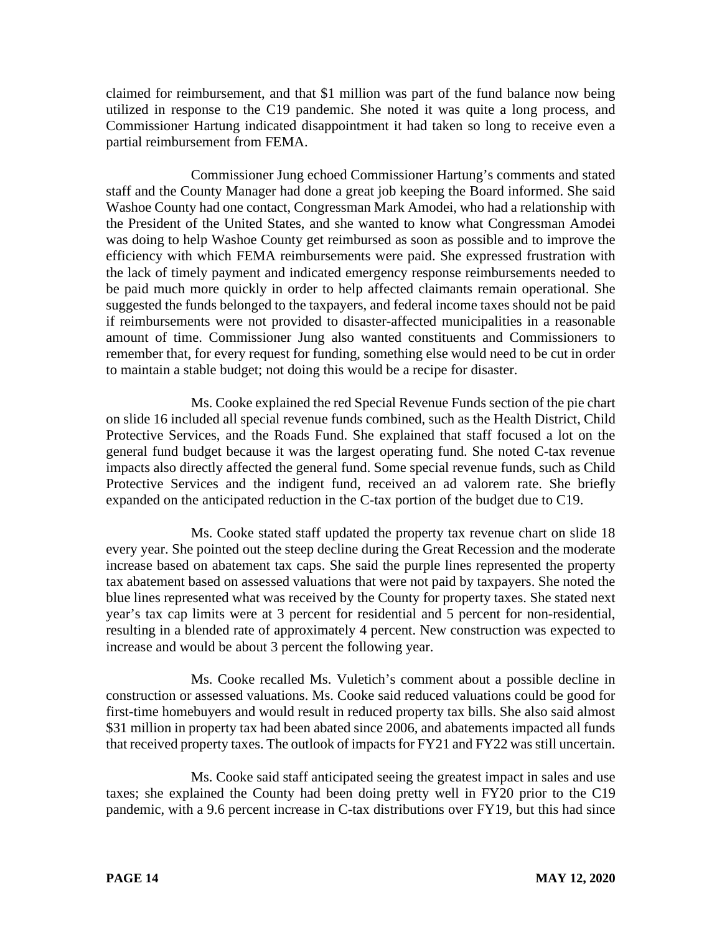claimed for reimbursement, and that \$1 million was part of the fund balance now being utilized in response to the C19 pandemic. She noted it was quite a long process, and Commissioner Hartung indicated disappointment it had taken so long to receive even a partial reimbursement from FEMA.

Commissioner Jung echoed Commissioner Hartung's comments and stated staff and the County Manager had done a great job keeping the Board informed. She said Washoe County had one contact, Congressman Mark Amodei, who had a relationship with the President of the United States, and she wanted to know what Congressman Amodei was doing to help Washoe County get reimbursed as soon as possible and to improve the efficiency with which FEMA reimbursements were paid. She expressed frustration with the lack of timely payment and indicated emergency response reimbursements needed to be paid much more quickly in order to help affected claimants remain operational. She suggested the funds belonged to the taxpayers, and federal income taxes should not be paid if reimbursements were not provided to disaster-affected municipalities in a reasonable amount of time. Commissioner Jung also wanted constituents and Commissioners to remember that, for every request for funding, something else would need to be cut in order to maintain a stable budget; not doing this would be a recipe for disaster.

Ms. Cooke explained the red Special Revenue Funds section of the pie chart on slide 16 included all special revenue funds combined, such as the Health District, Child Protective Services, and the Roads Fund. She explained that staff focused a lot on the general fund budget because it was the largest operating fund. She noted C-tax revenue impacts also directly affected the general fund. Some special revenue funds, such as Child Protective Services and the indigent fund, received an ad valorem rate. She briefly expanded on the anticipated reduction in the C-tax portion of the budget due to C19.

Ms. Cooke stated staff updated the property tax revenue chart on slide 18 every year. She pointed out the steep decline during the Great Recession and the moderate increase based on abatement tax caps. She said the purple lines represented the property tax abatement based on assessed valuations that were not paid by taxpayers. She noted the blue lines represented what was received by the County for property taxes. She stated next year's tax cap limits were at 3 percent for residential and 5 percent for non-residential, resulting in a blended rate of approximately 4 percent. New construction was expected to increase and would be about 3 percent the following year.

Ms. Cooke recalled Ms. Vuletich's comment about a possible decline in construction or assessed valuations. Ms. Cooke said reduced valuations could be good for first-time homebuyers and would result in reduced property tax bills. She also said almost \$31 million in property tax had been abated since 2006, and abatements impacted all funds that received property taxes. The outlook of impacts for FY21 and FY22 was still uncertain.

Ms. Cooke said staff anticipated seeing the greatest impact in sales and use taxes; she explained the County had been doing pretty well in FY20 prior to the C19 pandemic, with a 9.6 percent increase in C-tax distributions over FY19, but this had since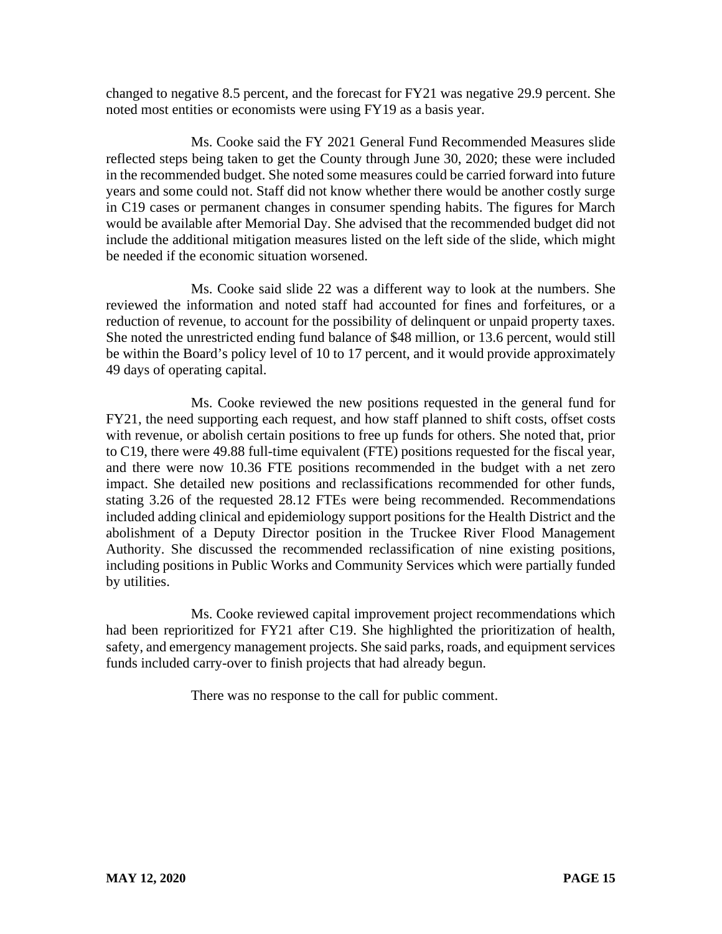changed to negative 8.5 percent, and the forecast for FY21 was negative 29.9 percent. She noted most entities or economists were using FY19 as a basis year.

Ms. Cooke said the FY 2021 General Fund Recommended Measures slide reflected steps being taken to get the County through June 30, 2020; these were included in the recommended budget. She noted some measures could be carried forward into future years and some could not. Staff did not know whether there would be another costly surge in C19 cases or permanent changes in consumer spending habits. The figures for March would be available after Memorial Day. She advised that the recommended budget did not include the additional mitigation measures listed on the left side of the slide, which might be needed if the economic situation worsened.

Ms. Cooke said slide 22 was a different way to look at the numbers. She reviewed the information and noted staff had accounted for fines and forfeitures, or a reduction of revenue, to account for the possibility of delinquent or unpaid property taxes. She noted the unrestricted ending fund balance of \$48 million, or 13.6 percent, would still be within the Board's policy level of 10 to 17 percent, and it would provide approximately 49 days of operating capital.

Ms. Cooke reviewed the new positions requested in the general fund for FY21, the need supporting each request, and how staff planned to shift costs, offset costs with revenue, or abolish certain positions to free up funds for others. She noted that, prior to C19, there were 49.88 full-time equivalent (FTE) positions requested for the fiscal year, and there were now 10.36 FTE positions recommended in the budget with a net zero impact. She detailed new positions and reclassifications recommended for other funds, stating 3.26 of the requested 28.12 FTEs were being recommended. Recommendations included adding clinical and epidemiology support positions for the Health District and the abolishment of a Deputy Director position in the Truckee River Flood Management Authority. She discussed the recommended reclassification of nine existing positions, including positions in Public Works and Community Services which were partially funded by utilities.

Ms. Cooke reviewed capital improvement project recommendations which had been reprioritized for FY21 after C19. She highlighted the prioritization of health, safety, and emergency management projects. She said parks, roads, and equipment services funds included carry-over to finish projects that had already begun.

There was no response to the call for public comment.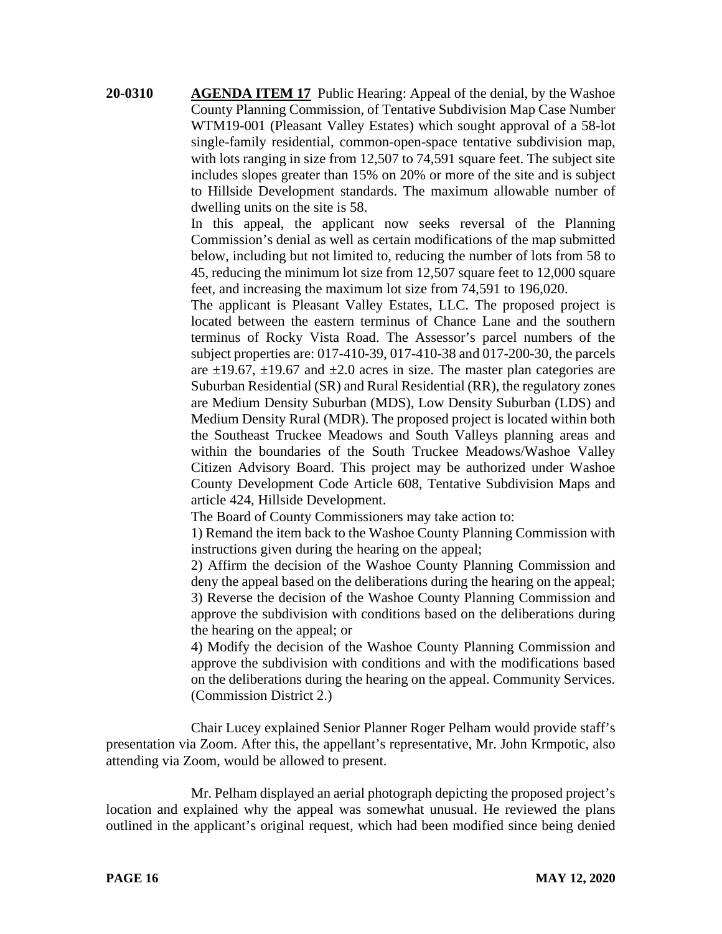**20-0310 AGENDA ITEM 17** Public Hearing: Appeal of the denial, by the Washoe County Planning Commission, of Tentative Subdivision Map Case Number WTM19-001 (Pleasant Valley Estates) which sought approval of a 58-lot single-family residential, common-open-space tentative subdivision map, with lots ranging in size from 12,507 to 74,591 square feet. The subject site includes slopes greater than 15% on 20% or more of the site and is subject to Hillside Development standards. The maximum allowable number of dwelling units on the site is 58.

> In this appeal, the applicant now seeks reversal of the Planning Commission's denial as well as certain modifications of the map submitted below, including but not limited to, reducing the number of lots from 58 to 45, reducing the minimum lot size from 12,507 square feet to 12,000 square feet, and increasing the maximum lot size from 74,591 to 196,020.

> The applicant is Pleasant Valley Estates, LLC. The proposed project is located between the eastern terminus of Chance Lane and the southern terminus of Rocky Vista Road. The Assessor's parcel numbers of the subject properties are: 017-410-39, 017-410-38 and 017-200-30, the parcels are  $\pm$ 19.67,  $\pm$ 19.67 and  $\pm$ 2.0 acres in size. The master plan categories are Suburban Residential (SR) and Rural Residential (RR), the regulatory zones are Medium Density Suburban (MDS), Low Density Suburban (LDS) and Medium Density Rural (MDR). The proposed project is located within both the Southeast Truckee Meadows and South Valleys planning areas and within the boundaries of the South Truckee Meadows/Washoe Valley Citizen Advisory Board. This project may be authorized under Washoe County Development Code Article 608, Tentative Subdivision Maps and article 424, Hillside Development.

The Board of County Commissioners may take action to:

1) Remand the item back to the Washoe County Planning Commission with instructions given during the hearing on the appeal;

2) Affirm the decision of the Washoe County Planning Commission and deny the appeal based on the deliberations during the hearing on the appeal; 3) Reverse the decision of the Washoe County Planning Commission and approve the subdivision with conditions based on the deliberations during the hearing on the appeal; or

4) Modify the decision of the Washoe County Planning Commission and approve the subdivision with conditions and with the modifications based on the deliberations during the hearing on the appeal. Community Services. (Commission District 2.)

Chair Lucey explained Senior Planner Roger Pelham would provide staff's presentation via Zoom. After this, the appellant's representative, Mr. John Krmpotic, also attending via Zoom, would be allowed to present.

Mr. Pelham displayed an aerial photograph depicting the proposed project's location and explained why the appeal was somewhat unusual. He reviewed the plans outlined in the applicant's original request, which had been modified since being denied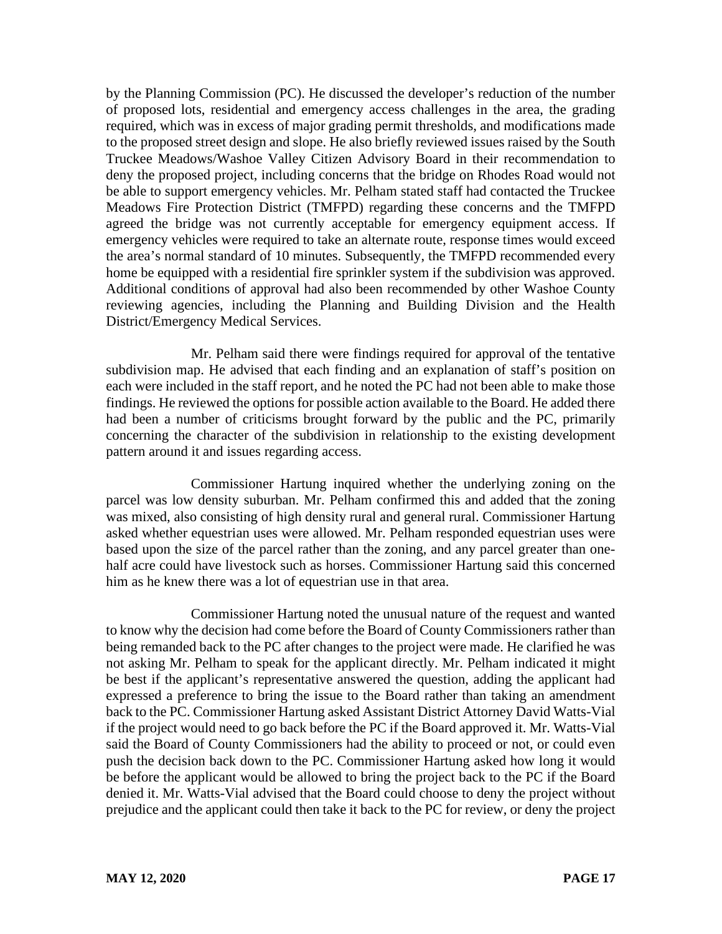by the Planning Commission (PC). He discussed the developer's reduction of the number of proposed lots, residential and emergency access challenges in the area, the grading required, which was in excess of major grading permit thresholds, and modifications made to the proposed street design and slope. He also briefly reviewed issues raised by the South Truckee Meadows/Washoe Valley Citizen Advisory Board in their recommendation to deny the proposed project, including concerns that the bridge on Rhodes Road would not be able to support emergency vehicles. Mr. Pelham stated staff had contacted the Truckee Meadows Fire Protection District (TMFPD) regarding these concerns and the TMFPD agreed the bridge was not currently acceptable for emergency equipment access. If emergency vehicles were required to take an alternate route, response times would exceed the area's normal standard of 10 minutes. Subsequently, the TMFPD recommended every home be equipped with a residential fire sprinkler system if the subdivision was approved. Additional conditions of approval had also been recommended by other Washoe County reviewing agencies, including the Planning and Building Division and the Health District/Emergency Medical Services.

Mr. Pelham said there were findings required for approval of the tentative subdivision map. He advised that each finding and an explanation of staff's position on each were included in the staff report, and he noted the PC had not been able to make those findings. He reviewed the options for possible action available to the Board. He added there had been a number of criticisms brought forward by the public and the PC, primarily concerning the character of the subdivision in relationship to the existing development pattern around it and issues regarding access.

Commissioner Hartung inquired whether the underlying zoning on the parcel was low density suburban. Mr. Pelham confirmed this and added that the zoning was mixed, also consisting of high density rural and general rural. Commissioner Hartung asked whether equestrian uses were allowed. Mr. Pelham responded equestrian uses were based upon the size of the parcel rather than the zoning, and any parcel greater than onehalf acre could have livestock such as horses. Commissioner Hartung said this concerned him as he knew there was a lot of equestrian use in that area.

Commissioner Hartung noted the unusual nature of the request and wanted to know why the decision had come before the Board of County Commissioners rather than being remanded back to the PC after changes to the project were made. He clarified he was not asking Mr. Pelham to speak for the applicant directly. Mr. Pelham indicated it might be best if the applicant's representative answered the question, adding the applicant had expressed a preference to bring the issue to the Board rather than taking an amendment back to the PC. Commissioner Hartung asked Assistant District Attorney David Watts-Vial if the project would need to go back before the PC if the Board approved it. Mr. Watts-Vial said the Board of County Commissioners had the ability to proceed or not, or could even push the decision back down to the PC. Commissioner Hartung asked how long it would be before the applicant would be allowed to bring the project back to the PC if the Board denied it. Mr. Watts-Vial advised that the Board could choose to deny the project without prejudice and the applicant could then take it back to the PC for review, or deny the project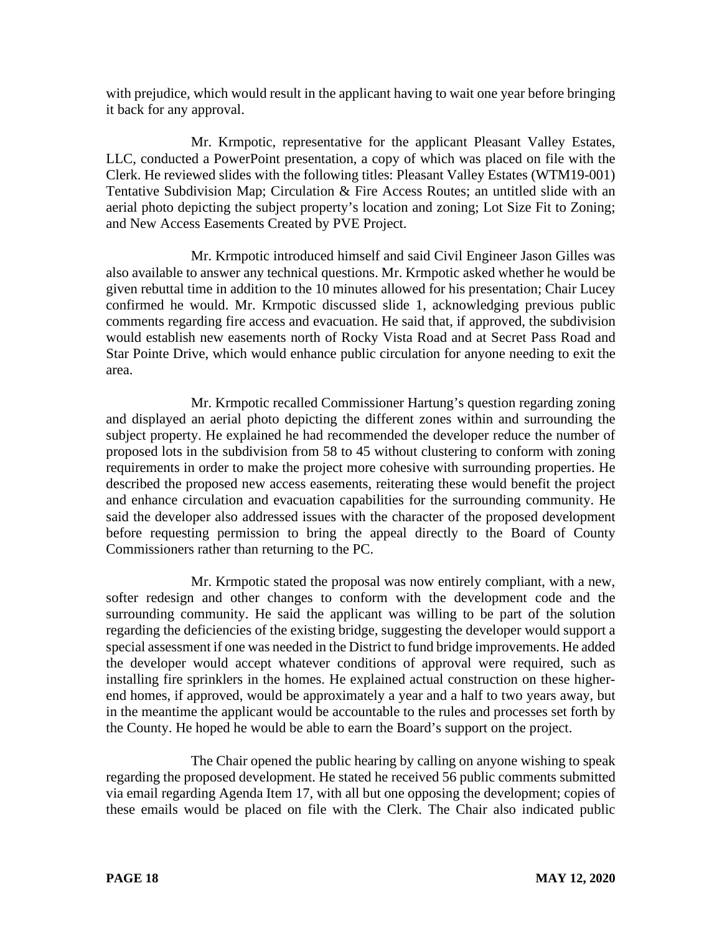with prejudice, which would result in the applicant having to wait one year before bringing it back for any approval.

Mr. Krmpotic, representative for the applicant Pleasant Valley Estates, LLC, conducted a PowerPoint presentation, a copy of which was placed on file with the Clerk. He reviewed slides with the following titles: Pleasant Valley Estates (WTM19-001) Tentative Subdivision Map; Circulation & Fire Access Routes; an untitled slide with an aerial photo depicting the subject property's location and zoning; Lot Size Fit to Zoning; and New Access Easements Created by PVE Project.

Mr. Krmpotic introduced himself and said Civil Engineer Jason Gilles was also available to answer any technical questions. Mr. Krmpotic asked whether he would be given rebuttal time in addition to the 10 minutes allowed for his presentation; Chair Lucey confirmed he would. Mr. Krmpotic discussed slide 1, acknowledging previous public comments regarding fire access and evacuation. He said that, if approved, the subdivision would establish new easements north of Rocky Vista Road and at Secret Pass Road and Star Pointe Drive, which would enhance public circulation for anyone needing to exit the area.

Mr. Krmpotic recalled Commissioner Hartung's question regarding zoning and displayed an aerial photo depicting the different zones within and surrounding the subject property. He explained he had recommended the developer reduce the number of proposed lots in the subdivision from 58 to 45 without clustering to conform with zoning requirements in order to make the project more cohesive with surrounding properties. He described the proposed new access easements, reiterating these would benefit the project and enhance circulation and evacuation capabilities for the surrounding community. He said the developer also addressed issues with the character of the proposed development before requesting permission to bring the appeal directly to the Board of County Commissioners rather than returning to the PC.

Mr. Krmpotic stated the proposal was now entirely compliant, with a new, softer redesign and other changes to conform with the development code and the surrounding community. He said the applicant was willing to be part of the solution regarding the deficiencies of the existing bridge, suggesting the developer would support a special assessment if one was needed in the District to fund bridge improvements. He added the developer would accept whatever conditions of approval were required, such as installing fire sprinklers in the homes. He explained actual construction on these higherend homes, if approved, would be approximately a year and a half to two years away, but in the meantime the applicant would be accountable to the rules and processes set forth by the County. He hoped he would be able to earn the Board's support on the project.

The Chair opened the public hearing by calling on anyone wishing to speak regarding the proposed development. He stated he received 56 public comments submitted via email regarding Agenda Item 17, with all but one opposing the development; copies of these emails would be placed on file with the Clerk. The Chair also indicated public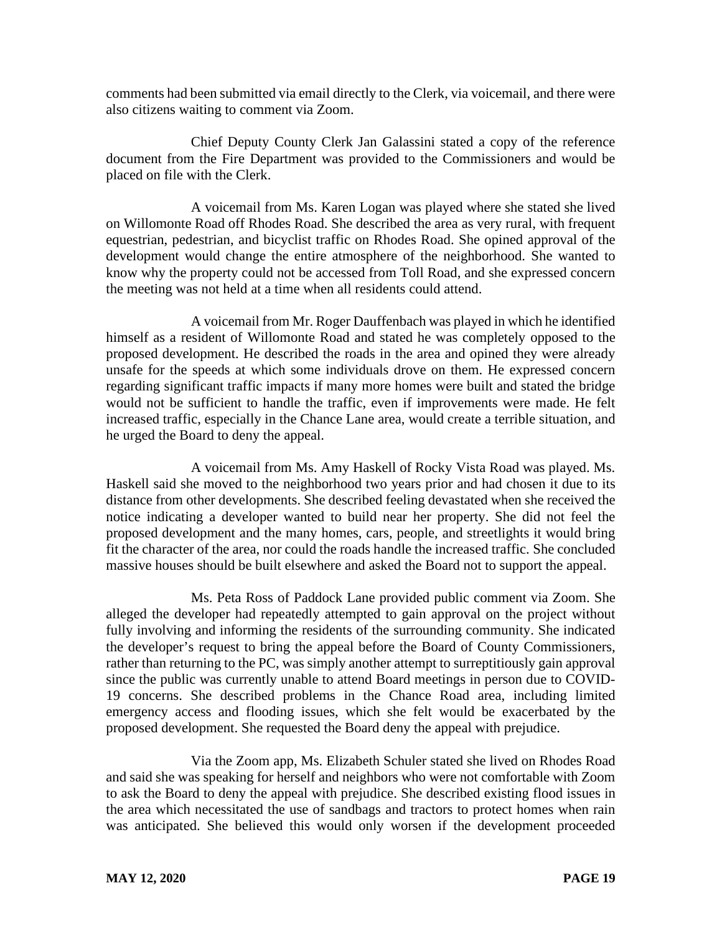comments had been submitted via email directly to the Clerk, via voicemail, and there were also citizens waiting to comment via Zoom.

Chief Deputy County Clerk Jan Galassini stated a copy of the reference document from the Fire Department was provided to the Commissioners and would be placed on file with the Clerk.

A voicemail from Ms. Karen Logan was played where she stated she lived on Willomonte Road off Rhodes Road. She described the area as very rural, with frequent equestrian, pedestrian, and bicyclist traffic on Rhodes Road. She opined approval of the development would change the entire atmosphere of the neighborhood. She wanted to know why the property could not be accessed from Toll Road, and she expressed concern the meeting was not held at a time when all residents could attend.

A voicemail from Mr. Roger Dauffenbach was played in which he identified himself as a resident of Willomonte Road and stated he was completely opposed to the proposed development. He described the roads in the area and opined they were already unsafe for the speeds at which some individuals drove on them. He expressed concern regarding significant traffic impacts if many more homes were built and stated the bridge would not be sufficient to handle the traffic, even if improvements were made. He felt increased traffic, especially in the Chance Lane area, would create a terrible situation, and he urged the Board to deny the appeal.

A voicemail from Ms. Amy Haskell of Rocky Vista Road was played. Ms. Haskell said she moved to the neighborhood two years prior and had chosen it due to its distance from other developments. She described feeling devastated when she received the notice indicating a developer wanted to build near her property. She did not feel the proposed development and the many homes, cars, people, and streetlights it would bring fit the character of the area, nor could the roads handle the increased traffic. She concluded massive houses should be built elsewhere and asked the Board not to support the appeal.

Ms. Peta Ross of Paddock Lane provided public comment via Zoom. She alleged the developer had repeatedly attempted to gain approval on the project without fully involving and informing the residents of the surrounding community. She indicated the developer's request to bring the appeal before the Board of County Commissioners, rather than returning to the PC, was simply another attempt to surreptitiously gain approval since the public was currently unable to attend Board meetings in person due to COVID-19 concerns. She described problems in the Chance Road area, including limited emergency access and flooding issues, which she felt would be exacerbated by the proposed development. She requested the Board deny the appeal with prejudice.

Via the Zoom app, Ms. Elizabeth Schuler stated she lived on Rhodes Road and said she was speaking for herself and neighbors who were not comfortable with Zoom to ask the Board to deny the appeal with prejudice. She described existing flood issues in the area which necessitated the use of sandbags and tractors to protect homes when rain was anticipated. She believed this would only worsen if the development proceeded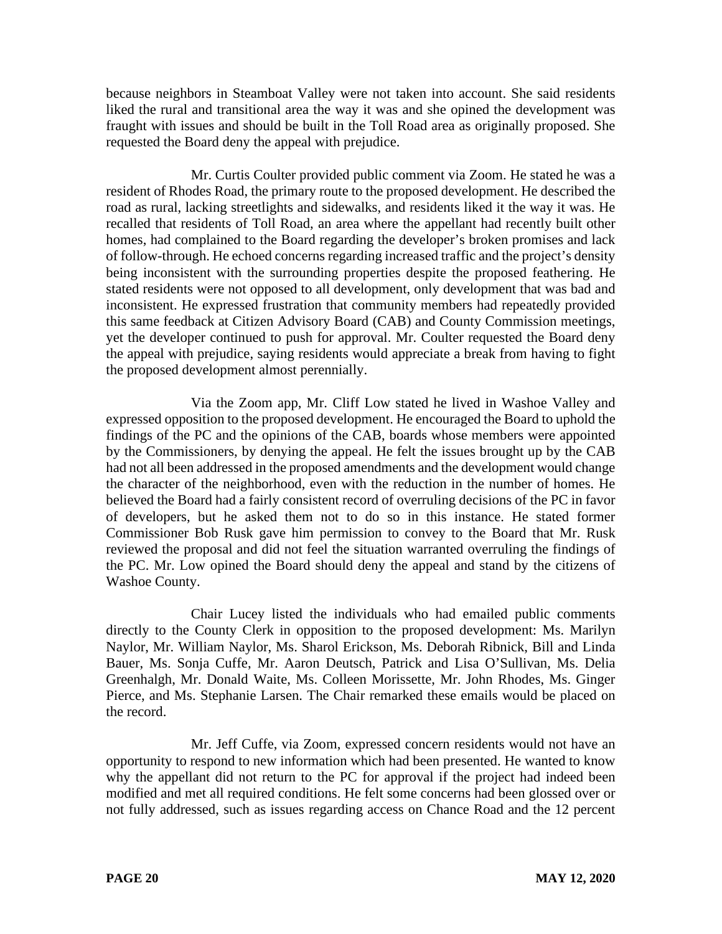because neighbors in Steamboat Valley were not taken into account. She said residents liked the rural and transitional area the way it was and she opined the development was fraught with issues and should be built in the Toll Road area as originally proposed. She requested the Board deny the appeal with prejudice.

Mr. Curtis Coulter provided public comment via Zoom. He stated he was a resident of Rhodes Road, the primary route to the proposed development. He described the road as rural, lacking streetlights and sidewalks, and residents liked it the way it was. He recalled that residents of Toll Road, an area where the appellant had recently built other homes, had complained to the Board regarding the developer's broken promises and lack of follow-through. He echoed concerns regarding increased traffic and the project's density being inconsistent with the surrounding properties despite the proposed feathering. He stated residents were not opposed to all development, only development that was bad and inconsistent. He expressed frustration that community members had repeatedly provided this same feedback at Citizen Advisory Board (CAB) and County Commission meetings, yet the developer continued to push for approval. Mr. Coulter requested the Board deny the appeal with prejudice, saying residents would appreciate a break from having to fight the proposed development almost perennially.

Via the Zoom app, Mr. Cliff Low stated he lived in Washoe Valley and expressed opposition to the proposed development. He encouraged the Board to uphold the findings of the PC and the opinions of the CAB, boards whose members were appointed by the Commissioners, by denying the appeal. He felt the issues brought up by the CAB had not all been addressed in the proposed amendments and the development would change the character of the neighborhood, even with the reduction in the number of homes. He believed the Board had a fairly consistent record of overruling decisions of the PC in favor of developers, but he asked them not to do so in this instance. He stated former Commissioner Bob Rusk gave him permission to convey to the Board that Mr. Rusk reviewed the proposal and did not feel the situation warranted overruling the findings of the PC. Mr. Low opined the Board should deny the appeal and stand by the citizens of Washoe County.

Chair Lucey listed the individuals who had emailed public comments directly to the County Clerk in opposition to the proposed development: Ms. Marilyn Naylor, Mr. William Naylor, Ms. Sharol Erickson, Ms. Deborah Ribnick, Bill and Linda Bauer, Ms. Sonja Cuffe, Mr. Aaron Deutsch, Patrick and Lisa O'Sullivan, Ms. Delia Greenhalgh, Mr. Donald Waite, Ms. Colleen Morissette, Mr. John Rhodes, Ms. Ginger Pierce, and Ms. Stephanie Larsen. The Chair remarked these emails would be placed on the record.

Mr. Jeff Cuffe, via Zoom, expressed concern residents would not have an opportunity to respond to new information which had been presented. He wanted to know why the appellant did not return to the PC for approval if the project had indeed been modified and met all required conditions. He felt some concerns had been glossed over or not fully addressed, such as issues regarding access on Chance Road and the 12 percent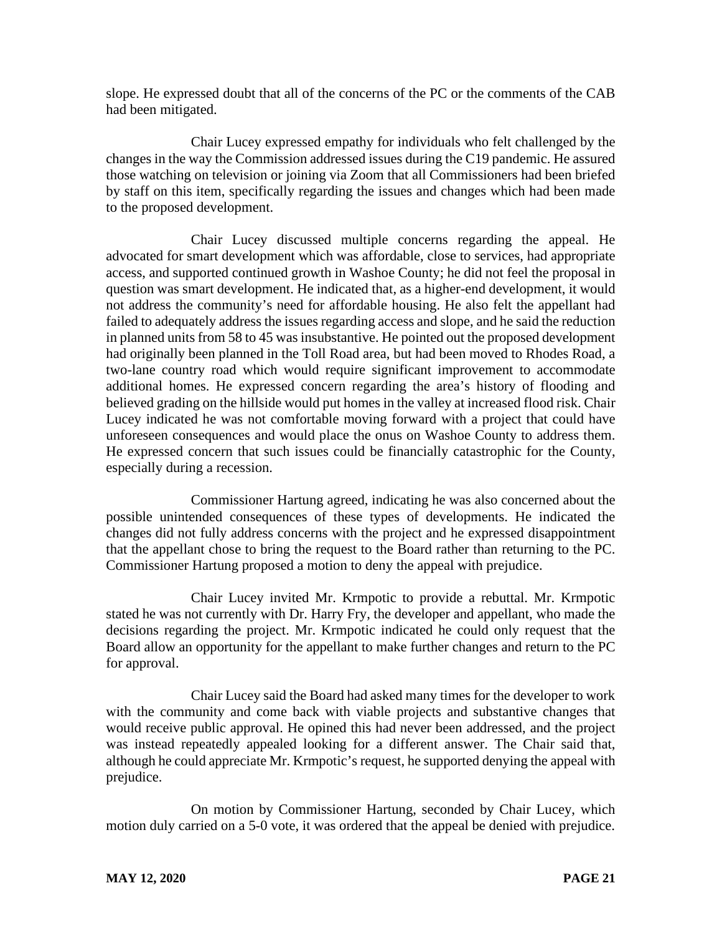slope. He expressed doubt that all of the concerns of the PC or the comments of the CAB had been mitigated.

Chair Lucey expressed empathy for individuals who felt challenged by the changes in the way the Commission addressed issues during the C19 pandemic. He assured those watching on television or joining via Zoom that all Commissioners had been briefed by staff on this item, specifically regarding the issues and changes which had been made to the proposed development.

Chair Lucey discussed multiple concerns regarding the appeal. He advocated for smart development which was affordable, close to services, had appropriate access, and supported continued growth in Washoe County; he did not feel the proposal in question was smart development. He indicated that, as a higher-end development, it would not address the community's need for affordable housing. He also felt the appellant had failed to adequately address the issues regarding access and slope, and he said the reduction in planned units from 58 to 45 was insubstantive. He pointed out the proposed development had originally been planned in the Toll Road area, but had been moved to Rhodes Road, a two-lane country road which would require significant improvement to accommodate additional homes. He expressed concern regarding the area's history of flooding and believed grading on the hillside would put homes in the valley at increased flood risk. Chair Lucey indicated he was not comfortable moving forward with a project that could have unforeseen consequences and would place the onus on Washoe County to address them. He expressed concern that such issues could be financially catastrophic for the County, especially during a recession.

Commissioner Hartung agreed, indicating he was also concerned about the possible unintended consequences of these types of developments. He indicated the changes did not fully address concerns with the project and he expressed disappointment that the appellant chose to bring the request to the Board rather than returning to the PC. Commissioner Hartung proposed a motion to deny the appeal with prejudice.

Chair Lucey invited Mr. Krmpotic to provide a rebuttal. Mr. Krmpotic stated he was not currently with Dr. Harry Fry, the developer and appellant, who made the decisions regarding the project. Mr. Krmpotic indicated he could only request that the Board allow an opportunity for the appellant to make further changes and return to the PC for approval.

Chair Lucey said the Board had asked many times for the developer to work with the community and come back with viable projects and substantive changes that would receive public approval. He opined this had never been addressed, and the project was instead repeatedly appealed looking for a different answer. The Chair said that, although he could appreciate Mr. Krmpotic's request, he supported denying the appeal with prejudice.

On motion by Commissioner Hartung, seconded by Chair Lucey, which motion duly carried on a 5-0 vote, it was ordered that the appeal be denied with prejudice.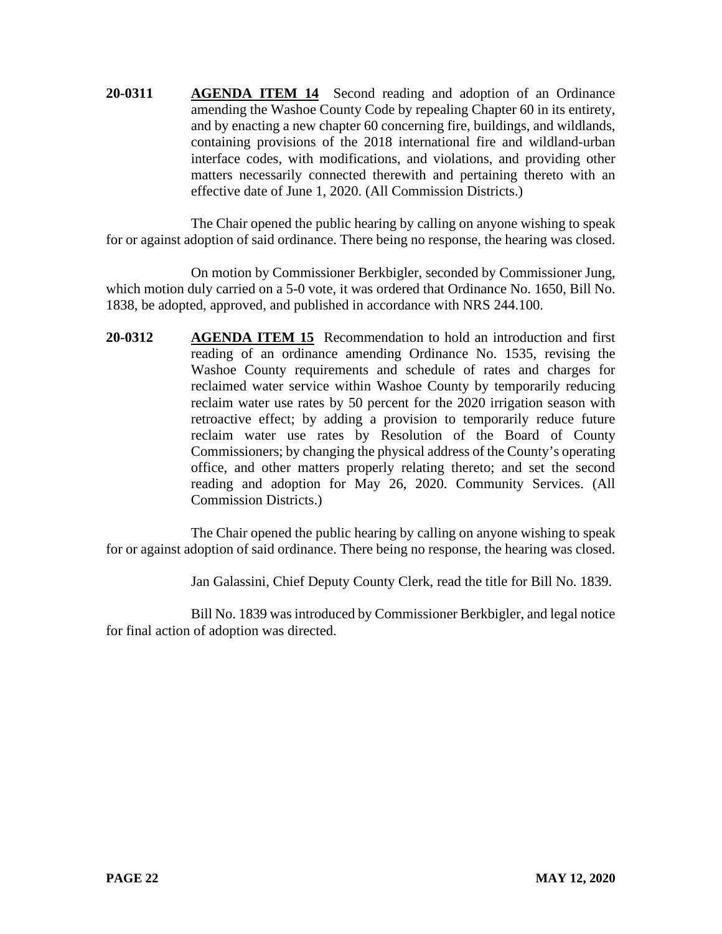**20-0311 AGENDA ITEM 14** Second reading and adoption of an Ordinance amending the Washoe County Code by repealing Chapter 60 in its entirety, and by enacting a new chapter 60 concerning fire, buildings, and wildlands, containing provisions of the 2018 international fire and wildland-urban interface codes, with modifications, and violations, and providing other matters necessarily connected therewith and pertaining thereto with an effective date of June 1, 2020. (All Commission Districts.)

The Chair opened the public hearing by calling on anyone wishing to speak for or against adoption of said ordinance. There being no response, the hearing was closed.

On motion by Commissioner Berkbigler, seconded by Commissioner Jung, which motion duly carried on a 5-0 vote, it was ordered that Ordinance No. 1650, Bill No. 1838, be adopted, approved, and published in accordance with NRS 244.100.

**20-0312 AGENDA ITEM 15** Recommendation to hold an introduction and first reading of an ordinance amending Ordinance No. 1535, revising the Washoe County requirements and schedule of rates and charges for reclaimed water service within Washoe County by temporarily reducing reclaim water use rates by 50 percent for the 2020 irrigation season with retroactive effect; by adding a provision to temporarily reduce future reclaim water use rates by Resolution of the Board of County Commissioners; by changing the physical address of the County's operating office, and other matters properly relating thereto; and set the second reading and adoption for May 26, 2020. Community Services. (All Commission Districts.)

The Chair opened the public hearing by calling on anyone wishing to speak for or against adoption of said ordinance. There being no response, the hearing was closed.

Jan Galassini, Chief Deputy County Clerk, read the title for Bill No. 1839.

Bill No. 1839 was introduced by Commissioner Berkbigler, and legal notice for final action of adoption was directed.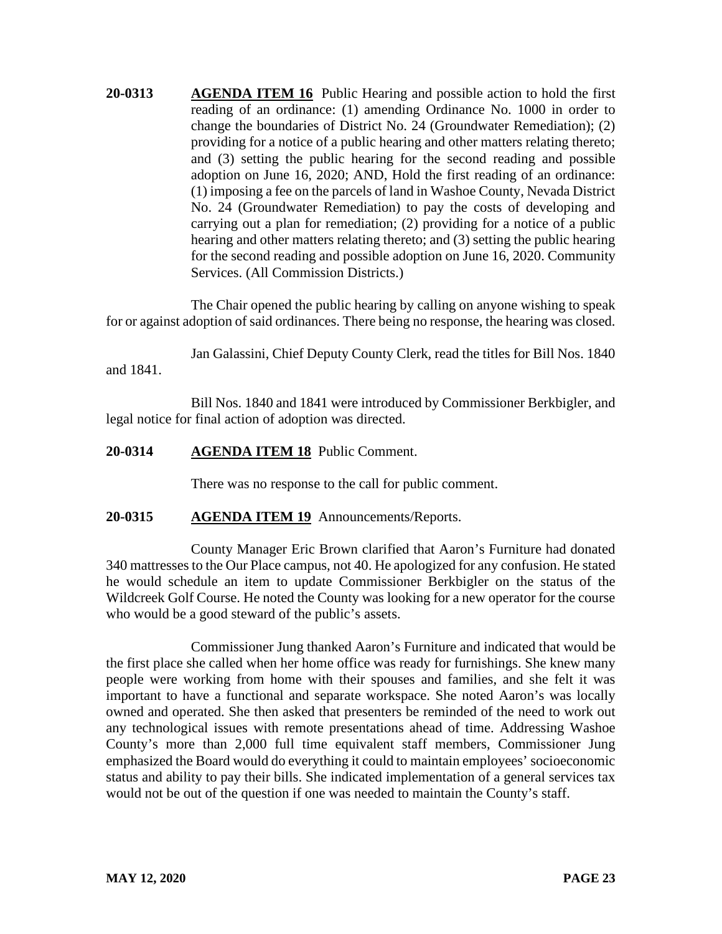**20-0313 AGENDA ITEM 16** Public Hearing and possible action to hold the first reading of an ordinance: (1) amending Ordinance No. 1000 in order to change the boundaries of District No. 24 (Groundwater Remediation); (2) providing for a notice of a public hearing and other matters relating thereto; and (3) setting the public hearing for the second reading and possible adoption on June 16, 2020; AND, Hold the first reading of an ordinance: (1) imposing a fee on the parcels of land in Washoe County, Nevada District No. 24 (Groundwater Remediation) to pay the costs of developing and carrying out a plan for remediation; (2) providing for a notice of a public hearing and other matters relating thereto; and (3) setting the public hearing for the second reading and possible adoption on June 16, 2020. Community Services. (All Commission Districts.)

The Chair opened the public hearing by calling on anyone wishing to speak for or against adoption of said ordinances. There being no response, the hearing was closed.

Jan Galassini, Chief Deputy County Clerk, read the titles for Bill Nos. 1840 and 1841.

Bill Nos. 1840 and 1841 were introduced by Commissioner Berkbigler, and legal notice for final action of adoption was directed.

## **20-0314 AGENDA ITEM 18** Public Comment.

There was no response to the call for public comment.

## **20-0315 AGENDA ITEM 19** Announcements/Reports.

County Manager Eric Brown clarified that Aaron's Furniture had donated 340 mattresses to the Our Place campus, not 40. He apologized for any confusion. He stated he would schedule an item to update Commissioner Berkbigler on the status of the Wildcreek Golf Course. He noted the County was looking for a new operator for the course who would be a good steward of the public's assets.

Commissioner Jung thanked Aaron's Furniture and indicated that would be the first place she called when her home office was ready for furnishings. She knew many people were working from home with their spouses and families, and she felt it was important to have a functional and separate workspace. She noted Aaron's was locally owned and operated. She then asked that presenters be reminded of the need to work out any technological issues with remote presentations ahead of time. Addressing Washoe County's more than 2,000 full time equivalent staff members, Commissioner Jung emphasized the Board would do everything it could to maintain employees' socioeconomic status and ability to pay their bills. She indicated implementation of a general services tax would not be out of the question if one was needed to maintain the County's staff.